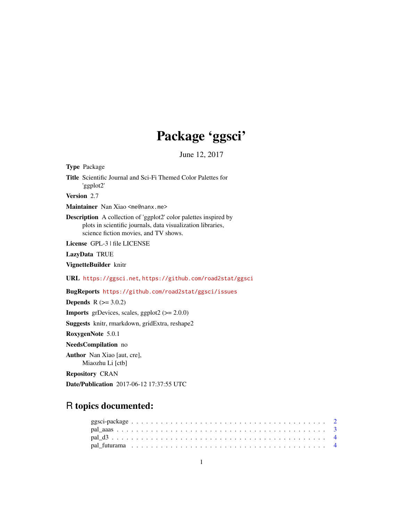# Package 'ggsci'

June 12, 2017

<span id="page-0-0"></span>

| <b>Type</b> Package                                                                                                                                                             |
|---------------------------------------------------------------------------------------------------------------------------------------------------------------------------------|
| <b>Title</b> Scientific Journal and Sci-Fi Themed Color Palettes for<br>'ggplot2'                                                                                               |
| Version 2.7                                                                                                                                                                     |
| Maintainer Nan Xiao <me@nanx.me></me@nanx.me>                                                                                                                                   |
| <b>Description</b> A collection of 'ggplot2' color palettes inspired by<br>plots in scientific journals, data visualization libraries,<br>science fiction movies, and TV shows. |
| License GPL-3   file LICENSE                                                                                                                                                    |
| LazyData TRUE                                                                                                                                                                   |
| VignetteBuilder knitr                                                                                                                                                           |
| URL https://ggsci.net.https://github.com/road2stat/ggsci                                                                                                                        |
| BugReports https://github.com/road2stat/ggsci/issues                                                                                                                            |
| <b>Depends</b> $R (= 3.0.2)$                                                                                                                                                    |
| <b>Imports</b> grDevices, scales, ggplot2 $(>= 2.0.0)$                                                                                                                          |
| <b>Suggests</b> knitr, rmarkdown, gridExtra, reshape2                                                                                                                           |
| RoxygenNote 5.0.1                                                                                                                                                               |
| NeedsCompilation no                                                                                                                                                             |
| <b>Author</b> Nan Xiao [aut, cre],<br>Miaozhu Li [ctb]                                                                                                                          |
| <b>Repository CRAN</b>                                                                                                                                                          |
| <b>Date/Publication</b> 2017-06-12 17:37:55 UTC                                                                                                                                 |

## R topics documented: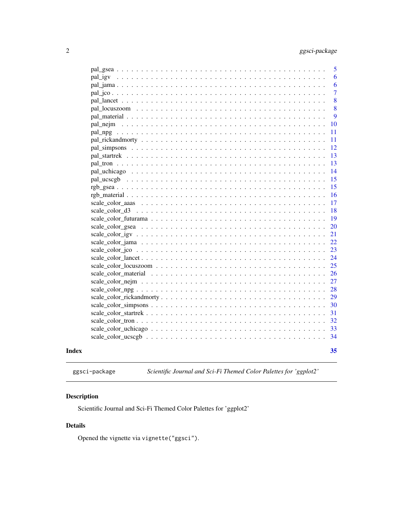<span id="page-1-0"></span>

|       | 5              |
|-------|----------------|
|       | 6              |
|       | 6              |
|       | $\overline{7}$ |
|       | 8              |
|       | 8              |
|       | 9              |
|       | 10             |
|       | 11             |
|       | 11             |
|       | 12             |
|       | 13             |
|       | 13             |
|       | 14             |
|       | 15             |
|       | 15             |
|       | 16             |
|       | 17             |
|       | 18             |
|       | 19             |
|       | 20             |
|       | 21             |
|       | 22             |
|       | 23             |
|       | 24             |
|       | 25             |
|       | 26             |
|       | 27             |
|       | 28             |
|       | 29             |
|       | 30             |
|       | 31             |
|       | 32             |
|       | 33             |
|       | 34             |
| Index | 35             |
|       |                |

ggsci-package *Scientific Journal and Sci-Fi Themed Color Palettes for 'ggplot2'*

#### Description

Scientific Journal and Sci-Fi Themed Color Palettes for 'ggplot2'

#### Details

Opened the vignette via vignette("ggsci").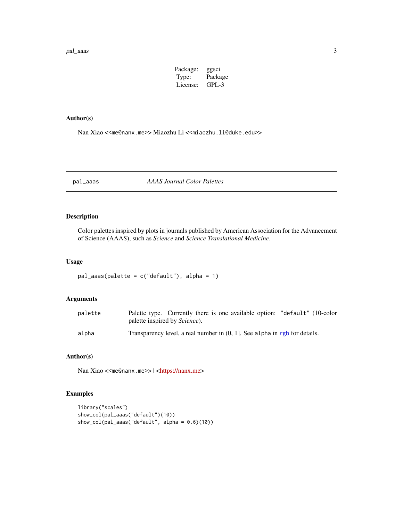#### <span id="page-2-0"></span>pal\_aaas 3

| Package: | ggsci   |
|----------|---------|
| Type:    | Package |
| License: | $GPL-3$ |

#### Author(s)

Nan Xiao <<me@nanx.me>> Miaozhu Li <<miaozhu.li@duke.edu>>

<span id="page-2-1"></span>pal\_aaas *AAAS Journal Color Palettes*

#### Description

Color palettes inspired by plots in journals published by American Association for the Advancement of Science (AAAS), such as *Science* and *Science Translational Medicine*.

#### Usage

```
pal_aaas(palette = c("default"), alpha = 1)
```
#### Arguments

| palette | Palette type. Currently there is one available option: "default" (10-color<br>palette inspired by <i>Science</i> ). |
|---------|---------------------------------------------------------------------------------------------------------------------|
| alpha   | Transparency level, a real number in $(0, 1]$ . See alpha in rgb for details.                                       |

#### Author(s)

Nan Xiao <<me@nanx.me>> | [<https://nanx.me>](https://nanx.me)

```
library("scales")
show_col(pal_aaas("default")(10))
show_col(pal_aaas("default", alpha = 0.6)(10))
```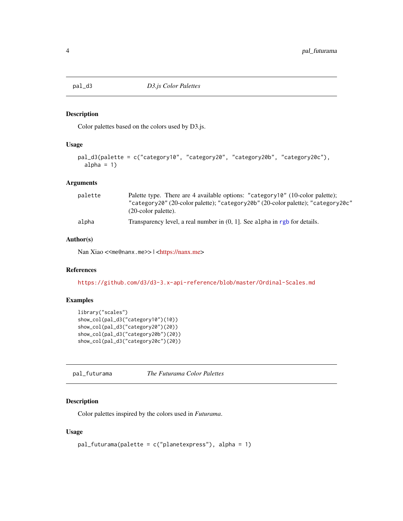<span id="page-3-1"></span><span id="page-3-0"></span>

Color palettes based on the colors used by D3.js.

#### Usage

```
pal_d3(palette = c("category10", "category20", "category20b", "category20c"),
  alpha = 1)
```
#### Arguments

| palette | Palette type. There are 4 available options: "category10" (10-color palette);                              |
|---------|------------------------------------------------------------------------------------------------------------|
|         | "category20" (20-color palette); "category20b" (20-color palette); "category20c"<br>$(20$ -color palette). |
| alpha   | Transparency level, a real number in $(0, 1]$ . See alpha in rgb for details.                              |

#### Author(s)

Nan Xiao <<me@nanx.me>> | [<https://nanx.me>](https://nanx.me)

#### References

<https://github.com/d3/d3-3.x-api-reference/blob/master/Ordinal-Scales.md>

#### Examples

```
library("scales")
show_col(pal_d3("category10")(10))
show_col(pal_d3("category20")(20))
show_col(pal_d3("category20b")(20))
show_col(pal_d3("category20c")(20))
```
<span id="page-3-2"></span>pal\_futurama *The Futurama Color Palettes*

#### Description

Color palettes inspired by the colors used in *Futurama*.

#### Usage

```
pal_futurama(palette = c("planetexpress"), alpha = 1)
```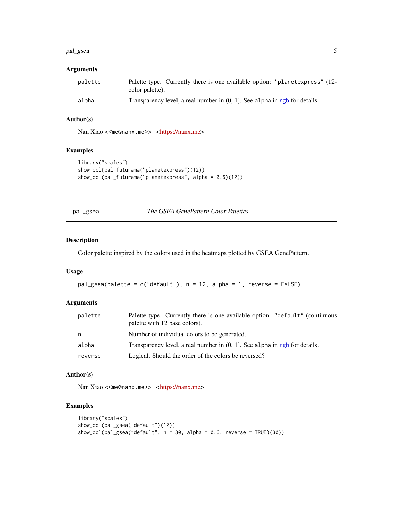#### <span id="page-4-0"></span>pal\_gsea 5

#### Arguments

| palette | Palette type. Currently there is one available option: "planetexpress" (12-<br>color palette). |
|---------|------------------------------------------------------------------------------------------------|
| alpha   | Transparency level, a real number in $(0, 1]$ . See alpha in rgb for details.                  |

#### Author(s)

Nan Xiao <<me@nanx.me>> | [<https://nanx.me>](https://nanx.me)

#### Examples

```
library("scales")
show_col(pal_futurama("planetexpress")(12))
show_col(pal_futurama("planetexpress", alpha = 0.6)(12))
```
<span id="page-4-1"></span>pal\_gsea *The GSEA GenePattern Color Palettes*

#### Description

Color palette inspired by the colors used in the heatmaps plotted by GSEA GenePattern.

#### Usage

```
pal_gsea(palette = c("default"), n = 12, alpha = 1, reverse = FALSE)
```
#### Arguments

| palette | Palette type. Currently there is one available option: "default" (continuous<br>palette with 12 base colors). |
|---------|---------------------------------------------------------------------------------------------------------------|
| n       | Number of individual colors to be generated.                                                                  |
| alpha   | Transparency level, a real number in $(0, 1]$ . See alpha in rgb for details.                                 |
| reverse | Logical. Should the order of the colors be reversed?                                                          |

#### Author(s)

Nan Xiao <<me@nanx.me>> | [<https://nanx.me>](https://nanx.me)

```
library("scales")
show_col(pal_gsea("default")(12))
show_col(pal_gsea("default", n = 30, alpha = 0.6, reverse = TRUE)(30))
```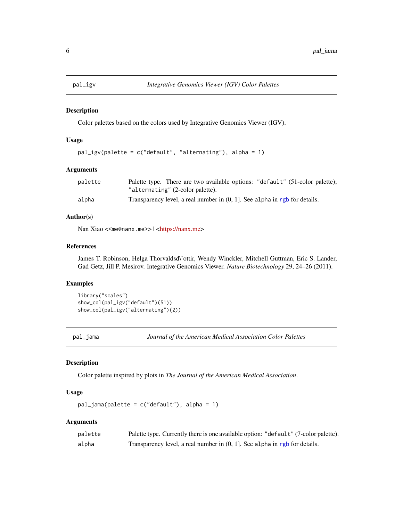<span id="page-5-1"></span><span id="page-5-0"></span>

Color palettes based on the colors used by Integrative Genomics Viewer (IGV).

#### Usage

```
pal_igv(palette = c("default", "alternating"), alpha = 1)
```
#### Arguments

| palette | Palette type. There are two available options: "default" (51-color palette);  |
|---------|-------------------------------------------------------------------------------|
|         | "alternating" (2-color palette).                                              |
| alpha   | Transparency level, a real number in $(0, 1]$ . See alpha in rgb for details. |

#### Author(s)

Nan Xiao <<me@nanx.me>> | [<https://nanx.me>](https://nanx.me)

#### References

James T. Robinson, Helga Thorvaldsd\'ottir, Wendy Winckler, Mitchell Guttman, Eric S. Lander, Gad Getz, Jill P. Mesirov. Integrative Genomics Viewer. *Nature Biotechnology* 29, 24–26 (2011).

#### Examples

```
library("scales")
show_col(pal_igv("default")(51))
show_col(pal_igv("alternating")(2))
```
<span id="page-5-2"></span>pal\_jama *Journal of the American Medical Association Color Palettes*

#### Description

Color palette inspired by plots in *The Journal of the American Medical Association*.

#### Usage

pal\_jama(palette = c("default"), alpha = 1)

#### Arguments

| palette | Palette type. Currently there is one available option: "default" (7-color palette). |
|---------|-------------------------------------------------------------------------------------|
| alpha   | Transparency level, a real number in $(0, 1]$ . See alpha in rgb for details.       |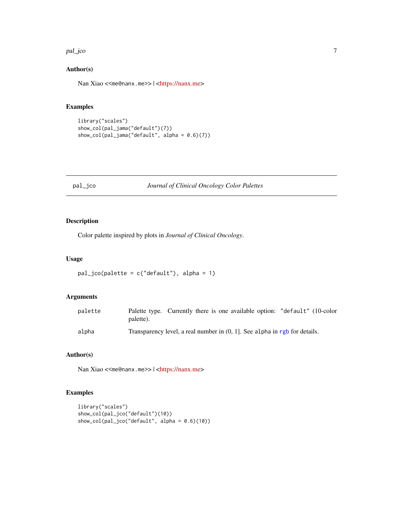#### <span id="page-6-0"></span>pal\_jco 7

#### Author(s)

Nan Xiao <<me@nanx.me>> | [<https://nanx.me>](https://nanx.me)

#### Examples

```
library("scales")
show_col(pal_jama("default")(7))
show_col(pal_jama("default", alpha = 0.6)(7))
```
#### <span id="page-6-1"></span>pal\_jco *Journal of Clinical Oncology Color Palettes*

#### Description

Color palette inspired by plots in *Journal of Clinical Oncology*.

#### Usage

```
pal_jco(palette = c("default"), alpha = 1)
```
#### Arguments

| palette | Palette type. Currently there is one available option: "default" (10-color<br>palette). |
|---------|-----------------------------------------------------------------------------------------|
| alpha   | Transparency level, a real number in $(0, 1)$ . See alpha in rgb for details.           |

#### Author(s)

Nan Xiao <<me@nanx.me>> | [<https://nanx.me>](https://nanx.me)

```
library("scales")
show_col(pal_jco("default")(10))
show_col(pal_jco("default", alpha = 0.6)(10))
```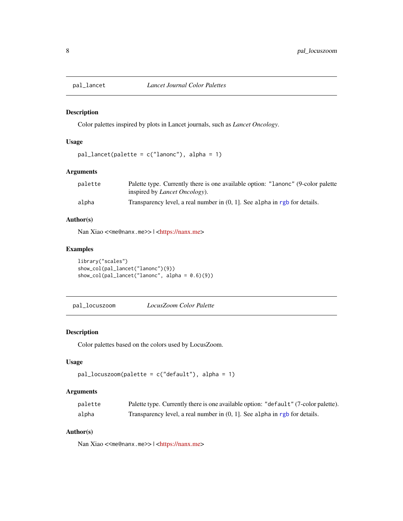<span id="page-7-1"></span><span id="page-7-0"></span>

Color palettes inspired by plots in Lancet journals, such as *Lancet Oncology*.

#### Usage

```
pal\_lancet(palette = c("lanonc"), alpha = 1)
```
#### Arguments

| palette | Palette type. Currently there is one available option: "Lanonc" (9-color palette |
|---------|----------------------------------------------------------------------------------|
|         | inspired by <i>Lancet Oncology</i> ).                                            |
| alpha   | Transparency level, a real number in $(0, 1)$ . See alpha in rgb for details.    |

#### Author(s)

Nan Xiao <<me@nanx.me>> | [<https://nanx.me>](https://nanx.me)

#### Examples

```
library("scales")
show_col(pal_lancet("lanonc")(9))
show_col(pal_lancet("lanonc", alpha = 0.6)(9))
```
<span id="page-7-2"></span>pal\_locuszoom *LocusZoom Color Palette*

#### Description

Color palettes based on the colors used by LocusZoom.

#### Usage

```
pal_locuszoom(palette = c("default"), alpha = 1)
```
#### Arguments

| palette | Palette type. Currently there is one available option: "default" (7-color palette). |
|---------|-------------------------------------------------------------------------------------|
| alpha   | Transparency level, a real number in $(0, 1]$ . See alpha in rgb for details.       |

#### Author(s)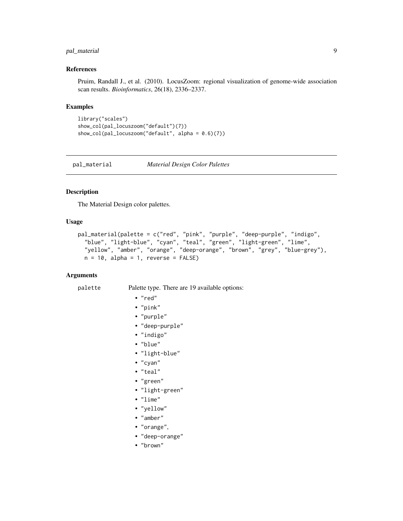#### <span id="page-8-0"></span>pal\_material 9

#### References

Pruim, Randall J., et al. (2010). LocusZoom: regional visualization of genome-wide association scan results. *Bioinformatics*, 26(18), 2336–2337.

#### Examples

```
library("scales")
show_col(pal_locuszoom("default")(7))
show_col(pal_locuszoom("default", alpha = 0.6)(7))
```
<span id="page-8-1"></span>pal\_material *Material Design Color Palettes*

#### Description

The Material Design color palettes.

#### Usage

```
pal_material(palette = c("red", "pink", "purple", "deep-purple", "indigo",
  "blue", "light-blue", "cyan", "teal", "green", "light-green", "lime",
  "yellow", "amber", "orange", "deep-orange", "brown", "grey", "blue-grey"),
 n = 10, alpha = 1, reverse = FALSE)
```
#### Arguments

palette Palette type. There are 19 available options:

• "red"

- "pink"
- "purple"
- "deep-purple"
- "indigo"
- "blue"
- 
- "light-blue"
- "cyan"
- "teal"
- "green"
- "light-green"
- "lime"
- "yellow"
- "amber"
- "orange",
- "deep-orange"
- "brown"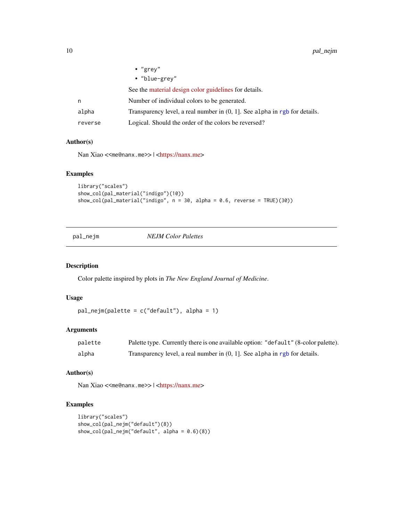<span id="page-9-0"></span>

|         | $\cdot$ "grey"                                                                |
|---------|-------------------------------------------------------------------------------|
|         | • "blue-grey"                                                                 |
|         | See the material design color guidelines for details.                         |
| n       | Number of individual colors to be generated.                                  |
| alpha   | Transparency level, a real number in $(0, 1]$ . See alpha in rgb for details. |
| reverse | Logical. Should the order of the colors be reversed?                          |

#### Author(s)

Nan Xiao <<me@nanx.me>> | [<https://nanx.me>](https://nanx.me)

#### Examples

```
library("scales")
show_col(pal_material("indigo")(10))
show_col(pal_material("indigo", n = 30, alpha = 0.6, reverse = TRUE)(30))
```
<span id="page-9-1"></span>pal\_nejm *NEJM Color Palettes*

#### Description

Color palette inspired by plots in *The New England Journal of Medicine*.

#### Usage

```
pal_nejm(palette = c("default"), alpha = 1)
```
#### Arguments

| palette | Palette type. Currently there is one available option: "default" (8-color palette). |
|---------|-------------------------------------------------------------------------------------|
| alpha   | Transparency level, a real number in $(0, 1]$ . See alpha in rgb for details.       |

#### Author(s)

Nan Xiao <<me@nanx.me>> | [<https://nanx.me>](https://nanx.me)

```
library("scales")
show_col(pal_nejm("default")(8))
show_col(pal_nejm("default", alpha = 0.6)(8))
```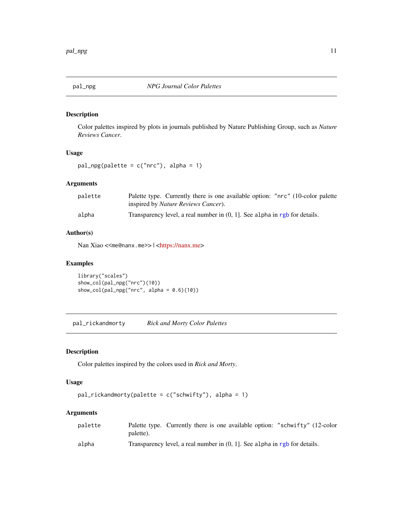<span id="page-10-1"></span><span id="page-10-0"></span>

Color palettes inspired by plots in journals published by Nature Publishing Group, such as *Nature Reviews Cancer*.

#### Usage

pal\_npg(palette = c("nrc"), alpha = 1)

#### Arguments

| palette | Palette type. Currently there is one available option: "nrc" (10-color palette<br>inspired by <i>Nature Reviews Cancer</i> ). |
|---------|-------------------------------------------------------------------------------------------------------------------------------|
| alpha   | Transparency level, a real number in $(0, 1)$ . See alpha in rgb for details.                                                 |

#### Author(s)

Nan Xiao <<me@nanx.me>> | [<https://nanx.me>](https://nanx.me)

#### Examples

library("scales") show\_col(pal\_npg("nrc")(10)) show\_col(pal\_npg("nrc", alpha =  $0.6$ )(10))

<span id="page-10-2"></span>pal\_rickandmorty *Rick and Morty Color Palettes*

#### Description

Color palettes inspired by the colors used in *Rick and Morty*.

#### Usage

```
pal_rickandmorty(palette = c("schwifty"), alpha = 1)
```
#### Arguments

| palette |                                                                               | Palette type. Currently there is one available option: "schwifty" (12-color |
|---------|-------------------------------------------------------------------------------|-----------------------------------------------------------------------------|
|         | palette).                                                                     |                                                                             |
| alpha   | Transparency level, a real number in $(0, 1)$ . See alpha in rgb for details. |                                                                             |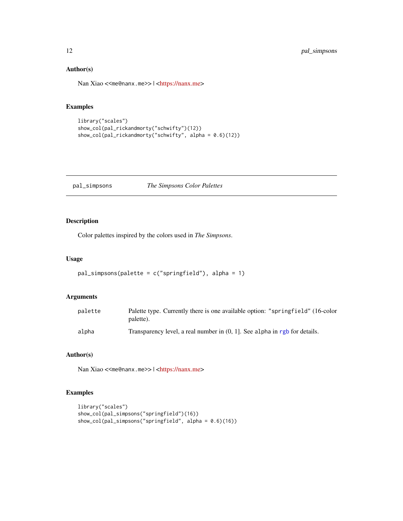#### Author(s)

Nan Xiao <<me@nanx.me>> | [<https://nanx.me>](https://nanx.me)

#### Examples

```
library("scales")
show_col(pal_rickandmorty("schwifty")(12))
show_col(pal_rickandmorty("schwifty", alpha = 0.6)(12))
```
#### <span id="page-11-1"></span>pal\_simpsons *The Simpsons Color Palettes*

#### Description

Color palettes inspired by the colors used in *The Simpsons*.

#### Usage

```
pal_simpsons(palette = c("springfield"), alpha = 1)
```
#### Arguments

| palette | Palette type. Currently there is one available option: "springfield" (16-color<br>palette). |
|---------|---------------------------------------------------------------------------------------------|
| alpha   | Transparency level, a real number in $(0, 1)$ . See alpha in rgb for details.               |

#### Author(s)

Nan Xiao <<me@nanx.me>> | [<https://nanx.me>](https://nanx.me)

```
library("scales")
show_col(pal_simpsons("springfield")(16))
show_col(pal_simpsons("springfield", alpha = (0.6)(16))
```
<span id="page-11-0"></span>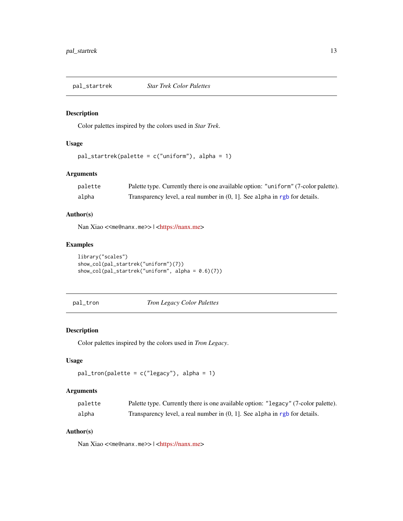<span id="page-12-1"></span><span id="page-12-0"></span>

Color palettes inspired by the colors used in *Star Trek*.

#### Usage

```
pal_startrek(palette = c("uniform"), alpha = 1)
```
#### Arguments

| palette | Palette type. Currently there is one available option: "uniform" (7-color palette). |
|---------|-------------------------------------------------------------------------------------|
| alpha   | Transparency level, a real number in $(0, 1]$ . See alpha in rgb for details.       |

#### Author(s)

Nan Xiao <<me@nanx.me>> | [<https://nanx.me>](https://nanx.me)

### Examples

```
library("scales")
show_col(pal_startrek("uniform")(7))
show_col(pal_startrek("uniform", alpha = 0.6)(7))
```
<span id="page-12-2"></span>pal\_tron *Tron Legacy Color Palettes*

#### Description

Color palettes inspired by the colors used in *Tron Legacy*.

#### Usage

```
pal_tron(palette = c("legacy"), alpha = 1)
```
#### Arguments

| palette | Palette type. Currently there is one available option: "legacy" (7-color palette). |
|---------|------------------------------------------------------------------------------------|
| alpha   | Transparency level, a real number in $(0, 1]$ . See alpha in rgb for details.      |

#### Author(s)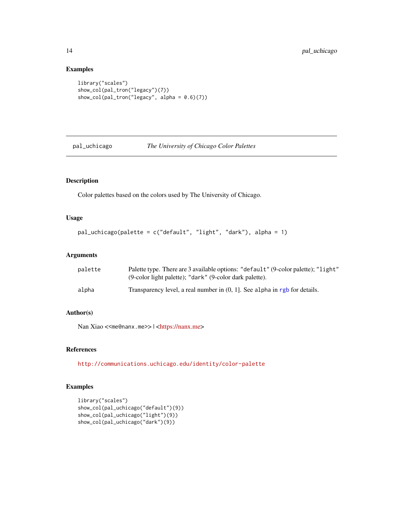#### Examples

```
library("scales")
show_col(pal_tron("legacy")(7))
show_col(pal_tron("legacy", alpha = 0.6)(7))
```
<span id="page-13-1"></span>pal\_uchicago *The University of Chicago Color Palettes*

#### Description

Color palettes based on the colors used by The University of Chicago.

#### Usage

```
pal_uchicago(palette = c("default", "light", "dark"), alpha = 1)
```
#### Arguments

| palette | Palette type. There are 3 available options: "default" (9-color palette); "light"<br>(9-color light palette); "dark" (9-color dark palette). |
|---------|----------------------------------------------------------------------------------------------------------------------------------------------|
| alpha   | Transparency level, a real number in $(0, 1]$ . See alpha in rgb for details.                                                                |

#### Author(s)

Nan Xiao <<me@nanx.me>> | [<https://nanx.me>](https://nanx.me)

#### References

<http://communications.uchicago.edu/identity/color-palette>

```
library("scales")
show_col(pal_uchicago("default")(9))
show_col(pal_uchicago("light")(9))
show_col(pal_uchicago("dark")(9))
```
<span id="page-13-0"></span>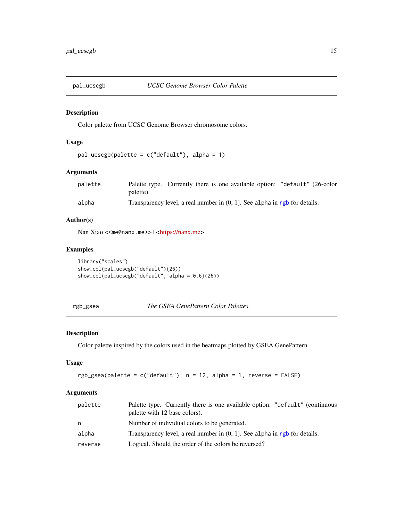<span id="page-14-1"></span><span id="page-14-0"></span>

Color palette from UCSC Genome Browser chromosome colors.

#### Usage

```
pal_ucscgb(palette = c("default"), alpha = 1)
```
#### Arguments

| palette | Palette type. Currently there is one available option: "default" (26-color    |  |  |  |
|---------|-------------------------------------------------------------------------------|--|--|--|
|         | palette).                                                                     |  |  |  |
| alpha   | Transparency level, a real number in $(0, 1)$ . See alpha in rgb for details. |  |  |  |

#### Author(s)

Nan Xiao <<me@nanx.me>> | [<https://nanx.me>](https://nanx.me)

#### Examples

```
library("scales")
show_col(pal_ucscgb("default")(26))
show_col(pal_ucscgb("default", alpha = 0.6)(26))
```

```
rgb_gsea The GSEA GenePattern Color Palettes
```
#### Description

Color palette inspired by the colors used in the heatmaps plotted by GSEA GenePattern.

#### Usage

```
rgb_gsea(palette = c("default"), n = 12, alpha = 1, reverse = FALSE)
```
#### Arguments

| palette | Palette type. Currently there is one available option: "default" (continuous<br>palette with 12 base colors). |
|---------|---------------------------------------------------------------------------------------------------------------|
| n       | Number of individual colors to be generated.                                                                  |
| alpha   | Transparency level, a real number in $(0, 1)$ . See alpha in rgb for details.                                 |
| reverse | Logical. Should the order of the colors be reversed?                                                          |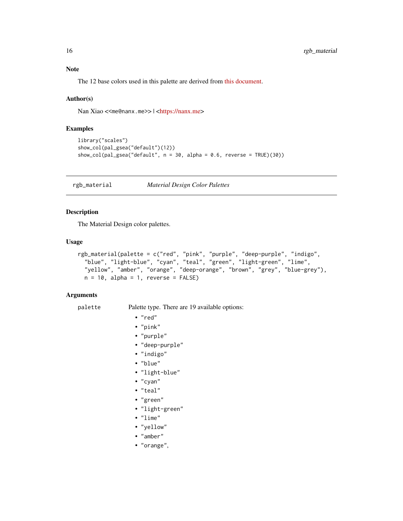#### <span id="page-15-0"></span>Note

The 12 base colors used in this palette are derived from [this document.](ftp://ftp.broad.mit.edu/pub/genepattern/modules/HeatMapImage/broad.mit.edu:cancer.software.genepattern.module.analysis/00032/6/HeatMapImage.pdf)

#### Author(s)

Nan Xiao <<me@nanx.me>> | [<https://nanx.me>](https://nanx.me)

#### Examples

```
library("scales")
show_col(pal_gsea("default")(12))
show_col(pal_gsea("default", n = 30, alpha = 0.6, reverse = TRUE)(30))
```
rgb\_material *Material Design Color Palettes*

#### Description

The Material Design color palettes.

#### Usage

```
rgb_material(palette = c("red", "pink", "purple", "deep-purple", "indigo",
  "blue", "light-blue", "cyan", "teal", "green", "light-green", "lime",
  "yellow", "amber", "orange", "deep-orange", "brown", "grey", "blue-grey"),
 n = 10, alpha = 1, reverse = FALSE)
```
#### Arguments

palette Palette type. There are 19 available options:

- "red"
- "pink"
- "purple"
- "deep-purple"
- "indigo"
- "blue"
- "light-blue"
- "cyan"
- "teal"
- "green"
- "light-green"
- "lime"
- "yellow"
- "amber"
- "orange",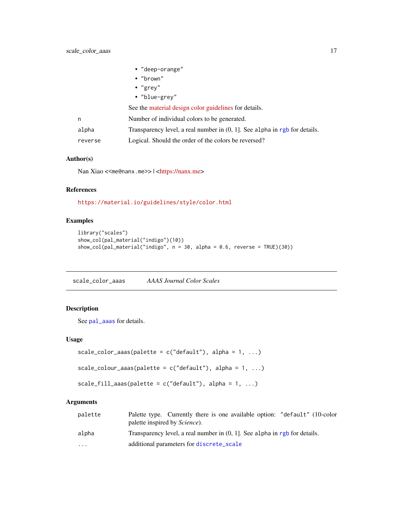<span id="page-16-0"></span>

|         | • "deep-orange"                                                               |
|---------|-------------------------------------------------------------------------------|
|         | $\cdot$ "brown"                                                               |
|         | $\cdot$ "grey"                                                                |
|         | • "blue-grey"                                                                 |
|         | See the material design color guidelines for details.                         |
| n       | Number of individual colors to be generated.                                  |
| alpha   | Transparency level, a real number in $(0, 1]$ . See alpha in rgb for details. |
| reverse | Logical. Should the order of the colors be reversed?                          |

#### Author(s)

Nan Xiao <<me@nanx.me>> | [<https://nanx.me>](https://nanx.me)

#### References

<https://material.io/guidelines/style/color.html>

#### Examples

```
library("scales")
show_col(pal_material("indigo")(10))
show_col(pal_material("indigo", n = 30, alpha = 0.6, reverse = TRUE)(30))
```
scale\_color\_aaas *AAAS Journal Color Scales*

#### Description

See [pal\\_aaas](#page-2-1) for details.

#### Usage

```
scale_color_aaas(palette = c("default"), alpha = 1, ...)
```

```
scale_colour_aaas(palette = c("default"), alpha = 1, ...)
```

```
scale_fill_aaas(palette = c("default"), alpha = 1, ...)
```
#### Arguments

| palette   | Palette type. Currently there is one available option: "default" (10-color<br>palette inspired by <i>Science</i> ). |
|-----------|---------------------------------------------------------------------------------------------------------------------|
| alpha     | Transparency level, a real number in $(0, 1)$ . See alpha in rgb for details.                                       |
| $\ddotsc$ | additional parameters for discrete_scale                                                                            |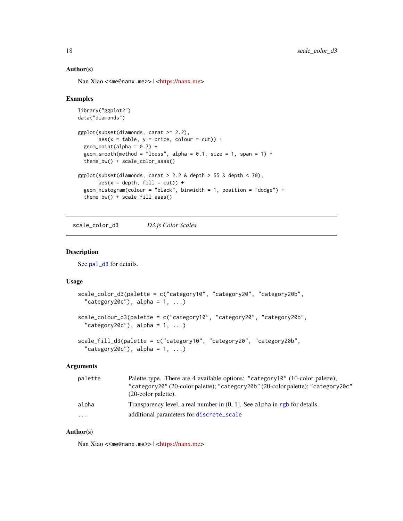#### Author(s)

Nan Xiao <<me@nanx.me>> | [<https://nanx.me>](https://nanx.me)

#### Examples

```
library("ggplot2")
data("diamonds")
ggplot(subset(diamonds, carat >= 2.2),
       aes(x = table, y = price, colour = cut)) +geom\_point(alpha = 0.7) +geom_smooth(method = "loess", alpha = 0.1, size = 1, span = 1) +
  theme_bw() + scale_color_aaas()
ggplot(subset(diamonds, carat > 2.2 &amp; depth > 55 &amp; depth < 70,
       \text{aes}(x = \text{depth}, \text{ fill} = \text{cut})) +geom_histogram(colour = "black", binwidth = 1, position = "dodge") +
  theme_bw() + scale_fill_aaas()
```
scale\_color\_d3 *D3.js Color Scales*

#### Description

See [pal\\_d3](#page-3-1) for details.

#### Usage

```
scale_color_d3(palette = c("category10", "category20", "category20b",
  "category20c"), alpha = 1, ...)
scale_colour_d3(palette = c("category10", "category20", "category20b",
  "category20c"), alpha = 1, ...)
scale_fill_d3(palette = c("category10", "category20", "category20b",
  "category20c"), alpha = 1, ...)
```
#### Arguments

| palette  | Palette type. There are 4 available options: "category10" (10-color palette);<br>"category20" (20-color palette); "category20b" (20-color palette); "category20c"<br>$(20$ -color palette). |
|----------|---------------------------------------------------------------------------------------------------------------------------------------------------------------------------------------------|
| alpha    | Transparency level, a real number in $(0, 1)$ . See alpha in rgb for details.                                                                                                               |
| $\cdots$ | additional parameters for discrete_scale                                                                                                                                                    |

#### Author(s)

<span id="page-17-0"></span>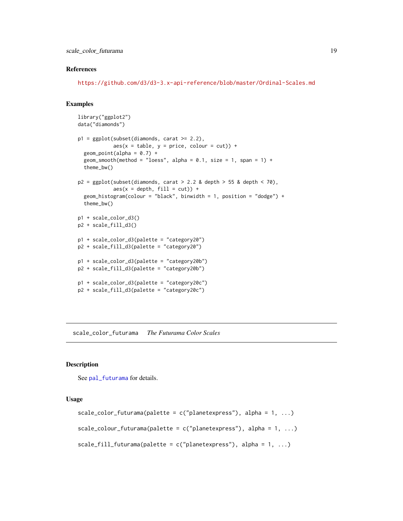<span id="page-18-0"></span>scale\_color\_futurama 19

#### References

<https://github.com/d3/d3-3.x-api-reference/blob/master/Ordinal-Scales.md>

#### Examples

```
library("ggplot2")
data("diamonds")
p1 = ggplot(subset(diamonds, carat >= 2.2),aes(x = table, y = price, colour = cut)) +geom\_point(alpha = 0.7) +geom_smooth(method = "loess", alpha = 0.1, size = 1, span = 1) +
  theme_bw()
p2 = ggplot(subset(diamonds, carat > 2.2 &amp; depth > 55 &amp; depth < 70),\text{aes}(x = \text{depth}, \text{ fill} = \text{cut}) +
  geom_histogram(colour = "black", binwidth = 1, position = "dodge") +
  theme_bw()
p1 + scale_color_d3()
p2 + scale_fill_d3()
p1 + scale_color_d3(palette = "category20")
p2 + scale_fill_d3(palette = "category20")
p1 + scale_color_d3(palette = "category20b")
p2 + scale_fill_d3(palette = "category20b")
p1 + scale_color_d3(palette = "category20c")
p2 + scale_fill_d3(palette = "category20c")
```
scale\_color\_futurama *The Futurama Color Scales*

#### **Description**

See [pal\\_futurama](#page-3-2) for details.

#### Usage

```
scale_color_futurama(palette = c("planetexpress"), alpha = 1, ...)
scale_colour_futurama(palette = c("planetexpress"), alpha = 1, ...)
scale_fill_futurama(palette = c("planetexpress"), alpha = 1, ...)
```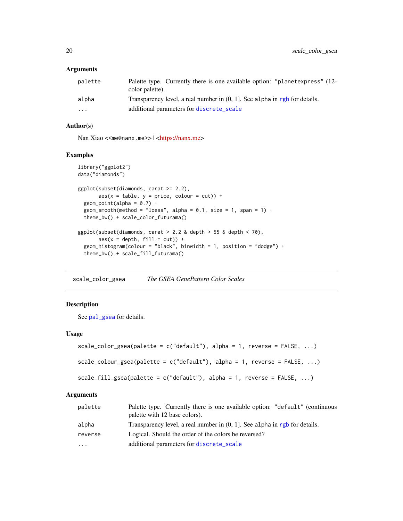#### <span id="page-19-0"></span>Arguments

| palette                 | Palette type. Currently there is one available option: "planetexpress" (12-<br>color palette). |
|-------------------------|------------------------------------------------------------------------------------------------|
| alpha                   | Transparency level, a real number in $(0, 1]$ . See alpha in rgb for details.                  |
| $\cdot$ $\cdot$ $\cdot$ | additional parameters for discrete_scale                                                       |

#### Author(s)

Nan Xiao <<me@nanx.me>> | [<https://nanx.me>](https://nanx.me)

#### Examples

```
library("ggplot2")
data("diamonds")
ggplot(subset(diamonds, carat >= 2.2),
       aes(x = table, y = price, colour = cut)) +geom\_point(alpha = 0.7) +geom_smooth(method = "loess", alpha = 0.1, size = 1, span = 1) +
  theme_bw() + scale_color_futurama()
ggplot(subset(diamonds, carat > 2.2 &amp; depth > 55 &amp; depth < 70),aes(x = depth, fill = cut)) +geom_histogram(colour = "black", binwidth = 1, position = "dodge") +
  theme_bw() + scale_fill_futurama()
```
scale\_color\_gsea *The GSEA GenePattern Color Scales*

#### Description

See [pal\\_gsea](#page-4-1) for details.

#### Usage

```
scale_color_gsea(palette = c("default"), alpha = 1, reverse = FALSE, ...)
scale_colour_gsea(palette = c("default"), alpha = 1, reverse = FALSE, ...)
```

```
scale_fill_gsea(palette = c("default"), alpha = 1, reverse = FALSE, ...)
```
#### Arguments

| palette | Palette type. Currently there is one available option: "default" (continuous<br>palette with 12 base colors). |
|---------|---------------------------------------------------------------------------------------------------------------|
| alpha   | Transparency level, a real number in $(0, 1]$ . See alpha in rgb for details.                                 |
| reverse | Logical. Should the order of the colors be reversed?                                                          |
| .       | additional parameters for discrete_scale                                                                      |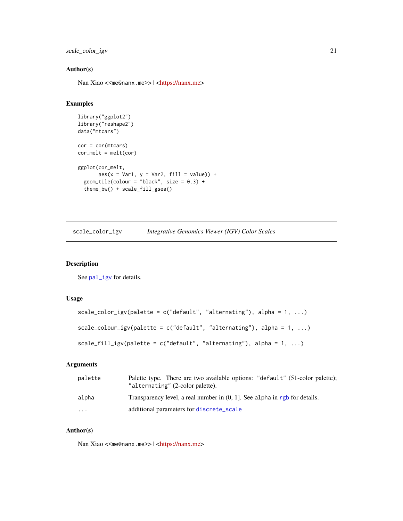<span id="page-20-0"></span>scale\_color\_igv 21

#### Author(s)

Nan Xiao <<me@nanx.me>> | [<https://nanx.me>](https://nanx.me)

#### Examples

```
library("ggplot2")
library("reshape2")
data("mtcars")
cor = cor(mtcars)
cor\_melt = melt(cor)ggplot(cor_melt,
       aes(x = Var1, y = Var2, fill = value)) +geom\_tile(colour = "black", size = 0.3) +theme_bw() + scale_fill_gsea()
```

| scale_color_igv |  | Integrative Genomics Viewer (IGV) Color Scales |  |  |
|-----------------|--|------------------------------------------------|--|--|
|-----------------|--|------------------------------------------------|--|--|

#### Description

See [pal\\_igv](#page-5-1) for details.

#### Usage

```
scale_color_igv(palette = c("default", "alternating"), alpha = 1, ...)scale_colour_igv(palette = c("default", "alternating"), alpha = 1, ...)scale_fill_igv(palette = c("default", "alternating"), alpha = 1, ...)
```
#### Arguments

| palette | Palette type. There are two available options: "default" (51-color palette);<br>"alternating" (2-color palette). |
|---------|------------------------------------------------------------------------------------------------------------------|
| alpha   | Transparency level, a real number in $(0, 1)$ . See alpha in rgb for details.                                    |
| .       | additional parameters for discrete_scale                                                                         |

#### Author(s)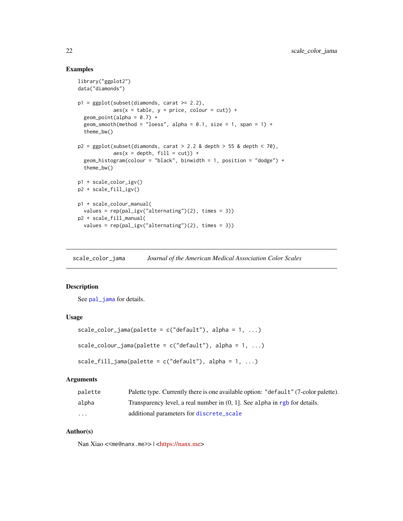#### Examples

```
library("ggplot2")
data("diamonds")
p1 = ggplot(subset(diamonds, carat >= 2.2),aes(x = table, y = price, colour = cut)) +geom\_point(alpha = 0.7) +
  geom_smooth(method = "loess", alpha = 0.1, size = 1, span = 1) +
  theme_bw()
p2 = ggplot(subset(diamonds, carat > 2.2 &amp; depth > 55 &amp; depth < 70,aes(x = depth, fill = cut)) +geom_histogram(colour = "black", binwidth = 1, position = "dodge") +
  theme_bw()
p1 + scale_color_igv()
p2 + scale_fill_igv()
p1 + scale_colour_manual(
  values = rep(pal\_igv("alternating")(2), times = 3))
p2 + scale_fill_manual(
  values = rep(pal_igv("alternating")(2), times = 3))
```
scale\_color\_jama *Journal of the American Medical Association Color Scales*

#### Description

See [pal\\_jama](#page-5-2) for details.

#### Usage

```
scale_color_jama(palette = c("default"), alpha = 1, ...)scale_colour_jama(palette = c("default"), alpha = 1, ...)scale_fill_jama(palette = c("default"), alpha = 1, ...)
```
#### Arguments

| palette  | Palette type. Currently there is one available option: "default" (7-color palette). |
|----------|-------------------------------------------------------------------------------------|
| alpha    | Transparency level, a real number in $(0, 1)$ . See alpha in rgb for details.       |
| $\cdots$ | additional parameters for discrete_scale                                            |

#### Author(s)

<span id="page-21-0"></span>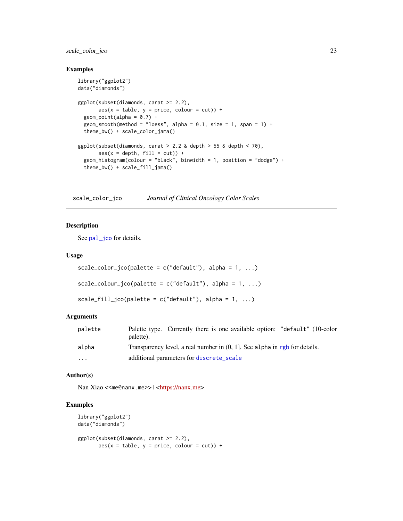#### <span id="page-22-0"></span>scale\_color\_jco 23

#### Examples

```
library("ggplot2")
data("diamonds")
ggplot(subset(diamonds, carat >= 2.2),
       \text{aes}(x = \text{table}, y = \text{price}, \text{colour} = \text{cut}) +
  geom\_point(alpha = 0.7) +
  geom_smooth(method = "loess", alpha = 0.1, size = 1, span = 1) +
  theme_bw() + scale_color_jama()
ggplot(subset(diamonds, carat > 2.2 & depth > 55 & depth < 70),
       aes(x = depth, fill = cut)) +geom_histogram(colour = "black", binwidth = 1, position = "dodge") +
  theme_bw() + scale_fill_jama()
```
scale\_color\_jco *Journal of Clinical Oncology Color Scales*

#### Description

See [pal\\_jco](#page-6-1) for details.

#### Usage

```
scale\_color\_jco(palette = c("default"), alpha = 1, ...)scale\_colour\_jco(palette = c("default"), alpha = 1, ...)scale_fill\_jco(palette = c("default"), alpha = 1, ...)
```
#### Arguments

| palette | Palette type. Currently there is one available option: "default" (10-color<br>palette). |
|---------|-----------------------------------------------------------------------------------------|
| alpha   | Transparency level, a real number in $(0, 1)$ . See alpha in rgb for details.           |
| .       | additional parameters for discrete_scale                                                |

#### Author(s)

Nan Xiao <<me@nanx.me>> | [<https://nanx.me>](https://nanx.me)

```
library("ggplot2")
data("diamonds")
ggplot(subset(diamonds, carat >= 2.2),
      aes(x = table, y = price, colour = cut)) +
```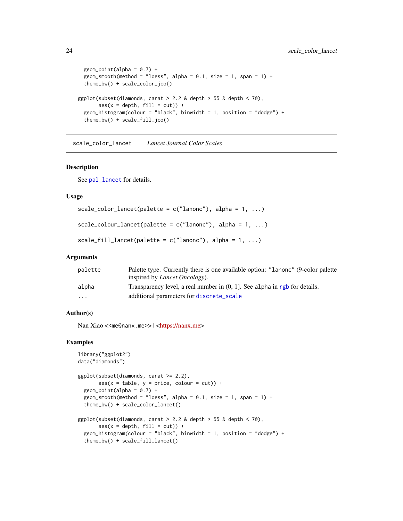```
geom\_point(alpha = 0.7) +
 geom_smooth(method = "loess", alpha = 0.1, size = 1, span = 1) +
 theme_bw() + scale_color_jco()
ggplot(subset(diamonds, carat > 2.2 &amp; depth > 55 &amp; depth < 70),aes(x = depth, fill = cut)) +geom_histogram(colour = "black", binwidth = 1, position = "dodge") +
 theme_bw() + scale_fill_jco()
```
scale\_color\_lancet *Lancet Journal Color Scales*

#### Description

See [pal\\_lancet](#page-7-1) for details.

#### Usage

```
scale_color_lancet(palette = c("lanonc"), alpha = 1, ...)scale\_colour\_lancet(palette = c("lanonc"), alpha = 1, ...)scale_fill_lancet(palette = c("lanonc"), alpha = 1, ...)
```
#### Arguments

| palette                 | Palette type. Currently there is one available option: "Lanonc" (9-color palette |
|-------------------------|----------------------------------------------------------------------------------|
|                         | inspired by <i>Lancet Oncology</i> ).                                            |
| alpha                   | Transparency level, a real number in $(0, 1)$ . See alpha in rgb for details.    |
| $\cdot$ $\cdot$ $\cdot$ | additional parameters for discrete_scale                                         |

#### Author(s)

Nan Xiao <<me@nanx.me>> | [<https://nanx.me>](https://nanx.me)

```
library("ggplot2")
data("diamonds")
ggplot(subset(diamonds, carat >= 2.2),
       aes(x = table, y = price, colour = cut)) +geom\_point(alpha = 0.7) +
 geom_smooth(method = "loess", alpha = 0.1, size = 1, span = 1) +
 theme_bw() + scale_color_lancet()
ggplot(subset(diamonds, carat > 2.2 &amp; depth > 55 &amp; depth < 70),aes(x = depth, fill = cut)) +geom_histogram(colour = "black", binwidth = 1, position = "dodge") +
 theme_bw() + scale_fill_lancet()
```
<span id="page-23-0"></span>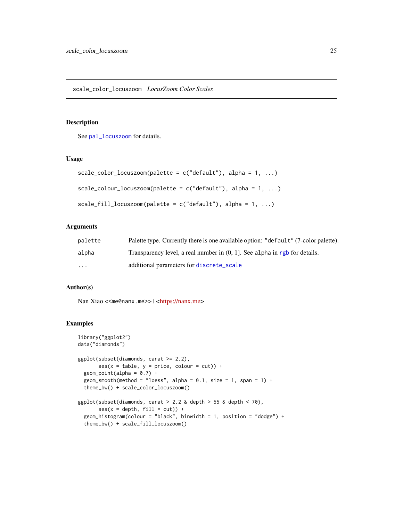<span id="page-24-0"></span>See [pal\\_locuszoom](#page-7-2) for details.

#### Usage

```
scale_color_locuszoom(palette = c("default"), alpha = 1, ...)scale\_colour\_locuszoom(palette = c("default"), alpha = 1, ...)scale_fill\_locuszoom(palette = c("default"), alpha = 1, ...)
```
#### Arguments

| palette | Palette type. Currently there is one available option: "default" (7-color palette). |
|---------|-------------------------------------------------------------------------------------|
| alpha   | Transparency level, a real number in $(0, 1)$ . See alpha in rgb for details.       |
| .       | additional parameters for discrete_scale                                            |

#### Author(s)

Nan Xiao <<me@nanx.me>> | [<https://nanx.me>](https://nanx.me)

```
library("ggplot2")
data("diamonds")
ggplot(subset(diamonds, carat >= 2.2),
      aes(x = table, y = price, colour = cut)) +geom\_point(alpha = 0.7) +
 geom_smooth(method = "loess", alpha = 0.1, size = 1, span = 1) +
 theme_bw() + scale_color_locuszoom()
ggplot(subset(diamonds, carat > 2.2 &amp; depth > 55 &amp; depth < 70,aes(x = depth, fill = cut)) +geom_histogram(colour = "black", binwidth = 1, position = "dodge") +
 theme_bw() + scale_fill_locuszoom()
```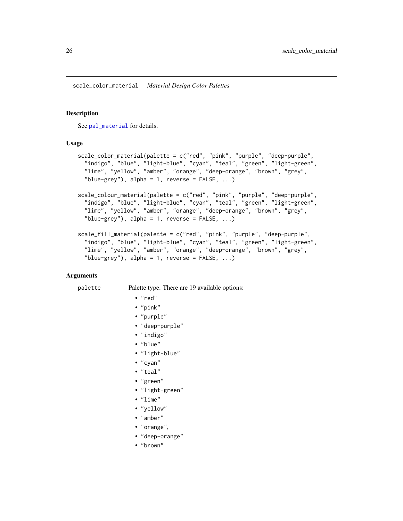<span id="page-25-0"></span>scale\_color\_material *Material Design Color Palettes*

#### Description

See [pal\\_material](#page-8-1) for details.

#### Usage

```
scale_color_material(palette = c("red", "pink", "purple", "deep-purple",
  "indigo", "blue", "light-blue", "cyan", "teal", "green", "light-green",
  "lime", "yellow", "amber", "orange", "deep-orange", "brown", "grey",
  "blue-grey"), alpha = 1, reverse = FALSE, ...)scale_colour_material(palette = c("red", "pink", "purple", "deep-purple",
  "indigo", "blue", "light-blue", "cyan", "teal", "green", "light-green",
  "lime", "yellow", "amber", "orange", "deep-orange", "brown", "grey",
  "blue-grey"), alpha = 1, reverse = FALSE, ...)
scale_fill_material(palette = c("red", "pink", "purple", "deep-purple",
  "indigo", "blue", "light-blue", "cyan", "teal", "green", "light-green",
  "lime", "yellow", "amber", "orange", "deep-orange", "brown", "grey",
  "blue-grey"), alpha = 1, reverse = FALSE, ...)
```
#### Arguments

#### palette Palette type. There are 19 available options:

• "red"

- 
- "pink"
- "purple"
- "deep-purple"
- "indigo"
- "blue"
- "light-blue"
- "cyan"
- "teal"
- "green"
- "light-green"
- "lime"
- "yellow"
- "amber"
- "orange",
- "deep-orange"
- "brown"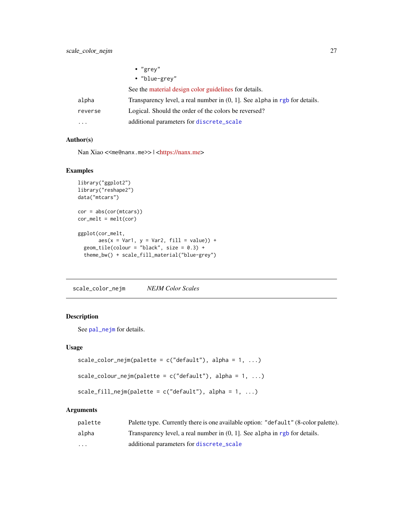<span id="page-26-0"></span>

|         | $\cdot$ "grey"                                                                |
|---------|-------------------------------------------------------------------------------|
|         | • "blue-grey"                                                                 |
|         | See the material design color guidelines for details.                         |
| alpha   | Transparency level, a real number in $(0, 1]$ . See alpha in rgb for details. |
| reverse | Logical. Should the order of the colors be reversed?                          |
| .       | additional parameters for discrete_scale                                      |

#### Author(s)

Nan Xiao <<me@nanx.me>> | [<https://nanx.me>](https://nanx.me)

#### Examples

```
library("ggplot2")
library("reshape2")
data("mtcars")
cor = abs(cor(mtcars))
cor\_melt = melt(cor)ggplot(cor_melt,
      aes(x = Var1, y = Var2, fill = value)) +geom\_tile(colour = "black", size = 0.3) +
  theme_bw() + scale_fill_material("blue-grey")
```
scale\_color\_nejm *NEJM Color Scales*

#### Description

See [pal\\_nejm](#page-9-1) for details.

#### Usage

```
scale_color_nejm(palette = c("default"), alpha = 1, ...)scale_colour_nejm(palette = c("default"), alpha = 1, ...)
```

```
scale_fill_nejm(palette = c("default"), alpha = 1, ...)
```
#### Arguments

| palette                 | Palette type. Currently there is one available option: "default" (8-color palette). |
|-------------------------|-------------------------------------------------------------------------------------|
| alpha                   | Transparency level, a real number in $(0, 1)$ . See alpha in rgb for details.       |
| $\cdot$ $\cdot$ $\cdot$ | additional parameters for discrete_scale                                            |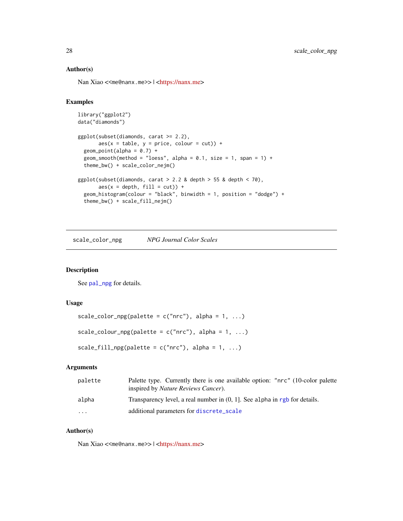#### Author(s)

Nan Xiao <<me@nanx.me>> | [<https://nanx.me>](https://nanx.me)

#### Examples

```
library("ggplot2")
data("diamonds")
ggplot(subset(diamonds, carat >= 2.2),
      aes(x = table, y = price, colour = cut)) +geom\_point(alpha = 0.7) +geom_smooth(method = "loess", alpha = 0.1, size = 1, span = 1) +
 theme_bw() + scale_color_nejm()
ggplot(subset(diamonds, carat > 2.2 & depth > 55 & depth < 70),
      aes(x = depth, fill = cut)) +geom_histogram(colour = "black", binwidth = 1, position = "dodge") +
 theme_bw() + scale_fill_nejm()
```
scale\_color\_npg *NPG Journal Color Scales*

#### Description

See [pal\\_npg](#page-10-1) for details.

#### Usage

```
scale_color_npg(palette = c("nrc"), alpha = 1, ...)
scale_colour_npg(palette = c("nrc"), alpha = 1, ...)
scale_fill_npg(palette = c("nrc"), alpha = 1, ...)
```
#### Arguments

| palette  | Palette type. Currently there is one available option: "nrc" (10-color palette<br>inspired by <i>Nature Reviews Cancer</i> ). |
|----------|-------------------------------------------------------------------------------------------------------------------------------|
| alpha    | Transparency level, a real number in $(0, 1)$ . See alpha in rgb for details.                                                 |
| $\cdots$ | additional parameters for discrete_scale                                                                                      |

#### Author(s)

<span id="page-27-0"></span>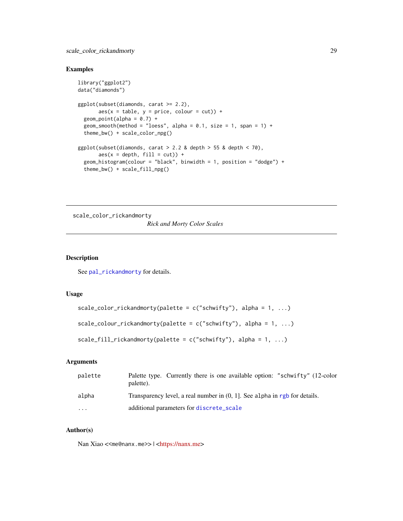<span id="page-28-0"></span>scale\_color\_rickandmorty 29

#### Examples

```
library("ggplot2")
data("diamonds")
ggplot(subset(diamonds, carat >= 2.2),
       aes(x = table, y = price, colour = cut)) +geom\_point(alpha = 0.7) +
  geom_smooth(method = "loess", alpha = 0.1, size = 1, span = 1) +
  theme_bw() + scale_color_npg()
ggplot(subset(diamonds, carat > 2.2 &amp; depth > 55 &amp; depth < 70),\text{aes}(x = \text{depth}, \text{ fill} = \text{cut}) +
  geom_histogram(colour = "black", binwidth = 1, position = "dodge") +
  theme_bw() + scale_fill_npg()
```
scale\_color\_rickandmorty *Rick and Morty Color Scales*

#### Description

See [pal\\_rickandmorty](#page-10-2) for details.

#### Usage

```
scale_color_rickandmorty(palette = c("schwifty"), alpha = 1, ...)
```

```
scale_colour_rickandmorty(palette = c("schwify"), alpha = 1, ...)
```

```
scale_fill_rickandmorty(palette = c("schwify"), alpha = 1, ...)
```
#### Arguments

| palette              | Palette type. Currently there is one available option: "schwifty" (12-color<br>palette). |
|----------------------|------------------------------------------------------------------------------------------|
| alpha                | Transparency level, a real number in $(0, 1]$ . See alpha in rgb for details.            |
| $\ddot{\phantom{0}}$ | additional parameters for discrete_scale                                                 |

#### Author(s)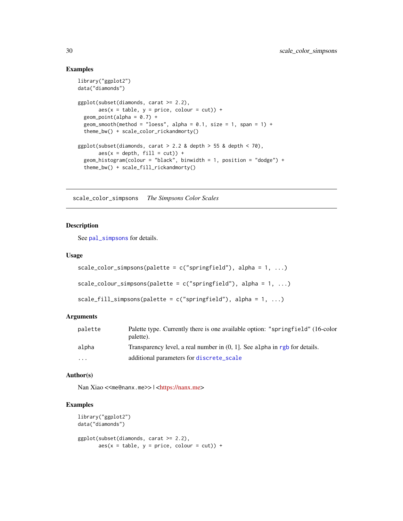#### Examples

```
library("ggplot2")
data("diamonds")
ggplot(subset(diamonds, carat >= 2.2),
       \text{aes}(x = \text{table}, y = \text{price}, \text{colour} = \text{cut}) +
  geom\_point(alpha = 0.7) +
  geom_smooth(method = "loess", alpha = 0.1, size = 1, span = 1) +
  theme_bw() + scale_color_rickandmorty()
ggplot(subset(diamonds, carat > 2.2 & depth > 55 & depth < 70),
       aes(x = depth, fill = cut)) +geom_histogram(colour = "black", binwidth = 1, position = "dodge") +
  theme_bw() + scale_fill_rickandmorty()
```
scale\_color\_simpsons *The Simpsons Color Scales*

#### Description

See [pal\\_simpsons](#page-11-1) for details.

#### Usage

```
scale\_color\_simpos(palette = c("springfield"), alpha = 1, ...)scale_colour_simpsons(palette = c("springfield"), alpha = 1, ...)
```

```
scale_fill_simpsons(palette = c("springfield"), alpha = 1, ...)
```
#### Arguments

| palette  | Palette type. Currently there is one available option: "springfield" (16-color<br>palette). |
|----------|---------------------------------------------------------------------------------------------|
| alpha    | Transparency level, a real number in $(0, 1]$ . See alpha in rgb for details.               |
| $\cdots$ | additional parameters for discrete_scale                                                    |

#### Author(s)

Nan Xiao <<me@nanx.me>> | [<https://nanx.me>](https://nanx.me)

```
library("ggplot2")
data("diamonds")
ggplot(subset(diamonds, carat >= 2.2),
      aes(x = table, y = price, colour = cut)) +
```
<span id="page-29-0"></span>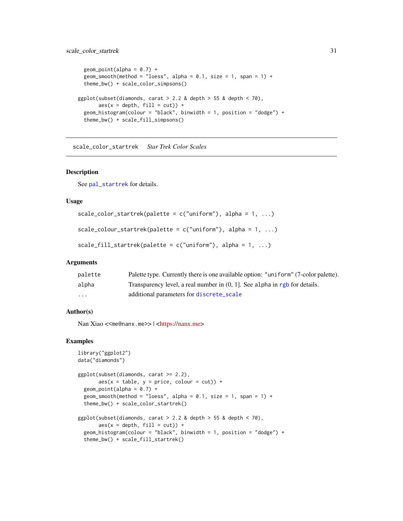```
geom\_point(alpha = 0.7) +
 geom_smooth(method = "loess", alpha = 0.1, size = 1, span = 1) +
 theme_bw() + scale_color_simpsons()
ggplot(subset(diamonds, carat > 2.2 & depth > 55 & depth < 70),
      aes(x = depth, fill = cut)) +geom_histogram(colour = "black", binwidth = 1, position = "dodge") +
 theme_bw() + scale_fill_simpsons()
```
scale\_color\_startrek *Star Trek Color Scales*

#### Description

See [pal\\_startrek](#page-12-1) for details.

#### Usage

```
scale_color_startrek(palette = c("uniform"), alpha = 1, ...)
```

```
scale_colour_startrek(palette = c("uniform"), alpha = 1, ...)
```

```
scale_fill_startrek(palette = c("uniform"), alpha = 1, ...)
```
#### Arguments

| palette | Palette type. Currently there is one available option: "uniform" (7-color palette). |
|---------|-------------------------------------------------------------------------------------|
| alpha   | Transparency level, a real number in $(0, 1)$ . See alpha in rgb for details.       |
| .       | additional parameters for discrete_scale                                            |

#### Author(s)

Nan Xiao <<me@nanx.me>> | [<https://nanx.me>](https://nanx.me)

```
library("ggplot2")
data("diamonds")
ggplot(subset(diamonds, carat >= 2.2),
       aes(x = table, y = price, colour = cut)) +geom\_point(alpha = 0.7) +geom_smooth(method = "loess", alpha = 0.1, size = 1, span = 1) +
 theme_bw() + scale_color_startrek()
ggplot(subset(diamonds, carat > 2.2 &amp; depth > 55 &amp; depth < 70),aes(x = depth, fill = cut)) +geom_histogram(colour = "black", binwidth = 1, position = "dodge") +
 theme_bw() + scale_fill_startrek()
```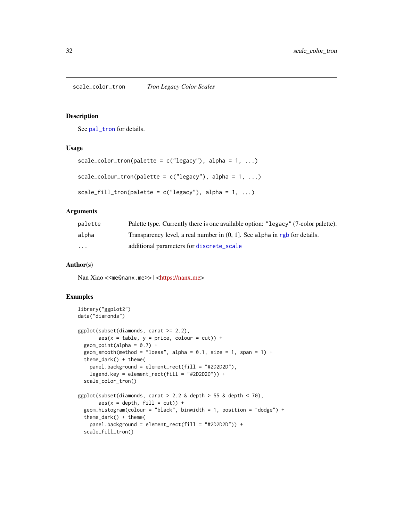<span id="page-31-0"></span>scale\_color\_tron *Tron Legacy Color Scales*

#### Description

See [pal\\_tron](#page-12-2) for details.

#### Usage

```
scale_color_tron(palette = c("legacy"), alpha = 1, ...)scale_colour_tron(palette = c("legacy"), alpha = 1, ...)scale_fill_tron(palette = c("legacy"), alpha = 1, ...)
```
#### Arguments

| palette  | Palette type. Currently there is one available option: "Legacy" (7-color palette). |
|----------|------------------------------------------------------------------------------------|
| alpha    | Transparency level, a real number in $(0, 1]$ . See alpha in rgb for details.      |
| $\cdots$ | additional parameters for discrete_scale                                           |

#### Author(s)

Nan Xiao <<me@nanx.me>> | [<https://nanx.me>](https://nanx.me)

```
library("ggplot2")
data("diamonds")
ggplot(subset(diamonds, carat >= 2.2),
      aes(x = table, y = price, colour = cut)) +geom\_point(alpha = 0.7) +geom_smooth(method = "loess", alpha = 0.1, size = 1, span = 1) +
 theme_dark() + theme(
   panel.background = element_rect(fill = "#2D2D2D"),
   legend.key = element_rect(fill = "#2D2D2D")) +
 scale_color_tron()
ggplot(subset(diamonds, carat > 2.2 &amp; depth > 55 &amp; depth < 70),aes(x = depth, fill = cut)) +geom_histogram(colour = "black", binwidth = 1, position = "dodge") +
 theme_dark() + theme(
   panel.background = element_rect(fill = "#2D2D2D")) +
 scale_fill_tron()
```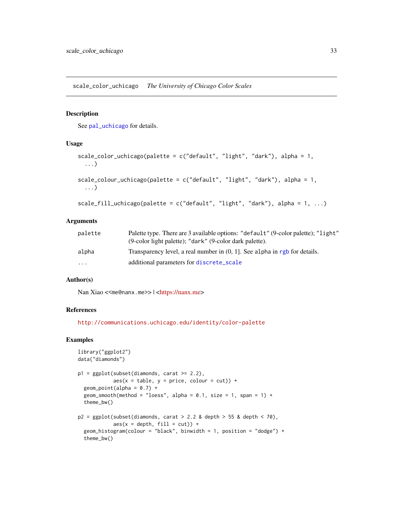<span id="page-32-0"></span>scale\_color\_uchicago *The University of Chicago Color Scales*

#### Description

See [pal\\_uchicago](#page-13-1) for details.

#### Usage

```
scale_color_uchicago(palette = c("default", "light", "dark"), alpha = 1,
  ...)
scale_colour_uchicago(palette = c("default", "light", "dark"), alpha = 1,
  ...)
scale_fill_uchicago(palette = c("default", "light", "dark"), alpha = 1, ...)
```
#### Arguments

| palette  | Palette type. There are 3 available options: "default" (9-color palette); "light"<br>(9-color light palette); "dark" (9-color dark palette). |
|----------|----------------------------------------------------------------------------------------------------------------------------------------------|
| alpha    | Transparency level, a real number in $(0, 1]$ . See alpha in rgb for details.                                                                |
| $\cdots$ | additional parameters for discrete_scale                                                                                                     |

#### Author(s)

Nan Xiao <<me@nanx.me>> | [<https://nanx.me>](https://nanx.me)

#### References

<http://communications.uchicago.edu/identity/color-palette>

```
library("ggplot2")
data("diamonds")
p1 = ggplot(subset(diamonds, carat >= 2.2),aes(x = table, y = price, colour = cut)) +geom\_point(alpha = 0.7) +geom_smooth(method = "loess", alpha = 0.1, size = 1, span = 1) +
  theme_bw()
p2 = ggplot(subset(diamonds, carat > 2.2 &amp; depth > 55 &amp; depth < 70,\text{aes}(x = \text{depth}, \text{ fill} = \text{cut})) +
  geom_histogram(colour = "black", binwidth = 1, position = "dodge") +
  theme_bw()
```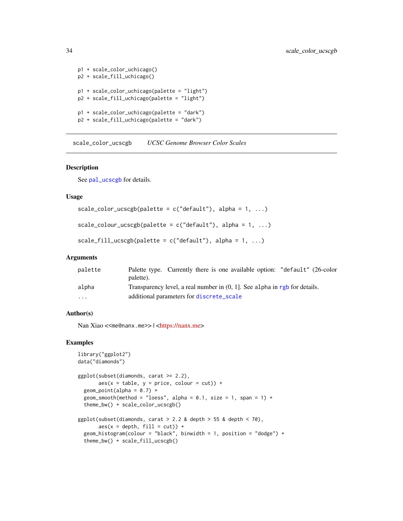```
p1 + scale_color_uchicago()
p2 + scale_fill_uchicago()
p1 + scale_color_uchicago(palette = "light")
p2 + scale_fill_uchicago(palette = "light")
p1 + scale_color_uchicago(palette = "dark")
p2 + scale_fill_uchicago(palette = "dark")
```
scale\_color\_ucscgb *UCSC Genome Browser Color Scales*

#### Description

See [pal\\_ucscgb](#page-14-1) for details.

#### Usage

```
scale\_color\_ucseph(palette = c("default"), alpha = 1, ...)
```

```
scale\_colour\_ucscgb(palette = c("default"), alpha = 1, ...)
```

```
scale_fill_ucscgb(palette = c("default"), alpha = 1, ...)
```
#### Arguments

| palette                 | Palette type. Currently there is one available option: "default" (26-color    |
|-------------------------|-------------------------------------------------------------------------------|
|                         | palette).                                                                     |
| alpha                   | Transparency level, a real number in $(0, 1)$ . See alpha in rgb for details. |
| $\cdot$ $\cdot$ $\cdot$ | additional parameters for discrete_scale                                      |

#### Author(s)

Nan Xiao <<me@nanx.me>> | [<https://nanx.me>](https://nanx.me)

```
library("ggplot2")
data("diamonds")
ggplot(subset(diamonds, carat >= 2.2),
      aes(x = table, y = price, colour = cut)) +geom\_point(alpha = 0.7) +
 geom_smooth(method = "loess", alpha = 0.1, size = 1, span = 1) +
 theme_bw() + scale_color_ucscgb()
ggplot(subset(diamonds, carat > 2.2 & depth > 55 & depth < 70),
      aes(x = depth, fill = cut)) +geom_histogram(colour = "black", binwidth = 1, position = "dodge") +
 theme_bw() + scale_fill_ucscgb()
```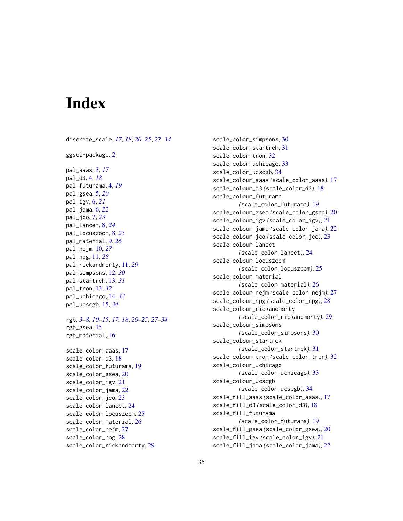# <span id="page-34-0"></span>**Index**

discrete\_scale, *[17,](#page-16-0) [18](#page-17-0)*, *[20–](#page-19-0)[25](#page-24-0)*, *[27–](#page-26-0)[34](#page-33-0)* ggsci-package, [2](#page-1-0) pal\_aaas, [3,](#page-2-0) *[17](#page-16-0)* pal\_d3, [4,](#page-3-0) *[18](#page-17-0)* pal\_futurama, [4,](#page-3-0) *[19](#page-18-0)* pal\_gsea, [5,](#page-4-0) *[20](#page-19-0)* pal\_igv, [6,](#page-5-0) *[21](#page-20-0)* pal\_jama, [6,](#page-5-0) *[22](#page-21-0)* pal\_jco, [7,](#page-6-0) *[23](#page-22-0)* pal\_lancet, [8,](#page-7-0) *[24](#page-23-0)* pal\_locuszoom, [8,](#page-7-0) *[25](#page-24-0)* pal\_material, [9,](#page-8-0) *[26](#page-25-0)* pal\_nejm, [10,](#page-9-0) *[27](#page-26-0)* pal\_npg, [11,](#page-10-0) *[28](#page-27-0)* pal\_rickandmorty, [11,](#page-10-0) *[29](#page-28-0)* pal\_simpsons, [12,](#page-11-0) *[30](#page-29-0)* pal\_startrek, [13,](#page-12-0) *[31](#page-30-0)* pal\_tron, [13,](#page-12-0) *[32](#page-31-0)* pal\_uchicago, [14,](#page-13-0) *[33](#page-32-0)* pal\_ucscgb, [15,](#page-14-0) *[34](#page-33-0)* rgb, *[3](#page-2-0)[–8](#page-7-0)*, *[10](#page-9-0)[–15](#page-14-0)*, *[17,](#page-16-0) [18](#page-17-0)*, *[20–](#page-19-0)[25](#page-24-0)*, *[27–](#page-26-0)[34](#page-33-0)* rgb\_gsea, [15](#page-14-0) rgb\_material, [16](#page-15-0) scale\_color\_aaas, [17](#page-16-0) scale\_color\_d3, [18](#page-17-0) scale\_color\_futurama, [19](#page-18-0) scale\_color\_gsea, [20](#page-19-0) scale\_color\_igv, [21](#page-20-0) scale\_color\_jama, [22](#page-21-0) scale\_color\_jco, [23](#page-22-0) scale\_color\_lancet, [24](#page-23-0) scale\_color\_locuszoom, [25](#page-24-0) scale\_color\_material, [26](#page-25-0) scale\_color\_nejm, [27](#page-26-0) scale\_color\_npg, [28](#page-27-0)

scale\_color\_rickandmorty, [29](#page-28-0)

scale\_color\_simpsons, [30](#page-29-0) scale\_color\_startrek, [31](#page-30-0) scale\_color\_tron, [32](#page-31-0) scale\_color\_uchicago, [33](#page-32-0) scale\_color\_ucscgb, [34](#page-33-0) scale\_colour\_aaas *(*scale\_color\_aaas*)*, [17](#page-16-0) scale\_colour\_d3 *(*scale\_color\_d3*)*, [18](#page-17-0) scale\_colour\_futurama *(*scale\_color\_futurama*)*, [19](#page-18-0) scale\_colour\_gsea *(*scale\_color\_gsea*)*, [20](#page-19-0) scale\_colour\_igv *(*scale\_color\_igv*)*, [21](#page-20-0) scale\_colour\_jama *(*scale\_color\_jama*)*, [22](#page-21-0) scale\_colour\_jco *(*scale\_color\_jco*)*, [23](#page-22-0) scale\_colour\_lancet *(*scale\_color\_lancet*)*, [24](#page-23-0) scale\_colour\_locuszoom *(*scale\_color\_locuszoom*)*, [25](#page-24-0) scale\_colour\_material *(*scale\_color\_material*)*, [26](#page-25-0) scale\_colour\_nejm *(*scale\_color\_nejm*)*, [27](#page-26-0) scale\_colour\_npg *(*scale\_color\_npg*)*, [28](#page-27-0) scale\_colour\_rickandmorty *(*scale\_color\_rickandmorty*)*, [29](#page-28-0) scale\_colour\_simpsons *(*scale\_color\_simpsons*)*, [30](#page-29-0) scale\_colour\_startrek *(*scale\_color\_startrek*)*, [31](#page-30-0) scale\_colour\_tron *(*scale\_color\_tron*)*, [32](#page-31-0) scale\_colour\_uchicago *(*scale\_color\_uchicago*)*, [33](#page-32-0) scale\_colour\_ucscgb *(*scale\_color\_ucscgb*)*, [34](#page-33-0) scale\_fill\_aaas *(*scale\_color\_aaas*)*, [17](#page-16-0) scale\_fill\_d3 *(*scale\_color\_d3*)*, [18](#page-17-0) scale\_fill\_futurama *(*scale\_color\_futurama*)*, [19](#page-18-0) scale\_fill\_gsea *(*scale\_color\_gsea*)*, [20](#page-19-0) scale\_fill\_igv *(*scale\_color\_igv*)*, [21](#page-20-0) scale\_fill\_jama *(*scale\_color\_jama*)*, [22](#page-21-0)